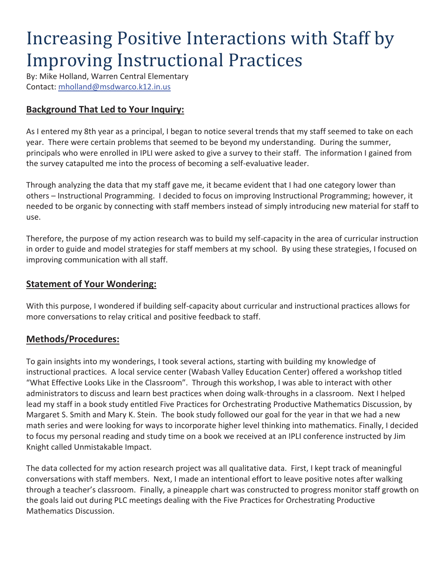# Increasing Positive Interactions with Staff by Improving Instructional Practices

By: Mike Holland, Warren Central Elementary Contact: mholland@msdwarco.k12.in.us

### **Background That Led to Your Inquiry:**

As I entered my 8th year as a principal, I began to notice several trends that my staff seemed to take on each year. There were certain problems that seemed to be beyond my understanding. During the summer, principals who were enrolled in IPLI were asked to give a survey to their staff. The information I gained from the survey catapulted me into the process of becoming a self-evaluative leader.

Through analyzing the data that my staff gave me, it became evident that I had one category lower than others – Instructional Programming. I decided to focus on improving Instructional Programming; however, it needed to be organic by connecting with staff members instead of simply introducing new material for staff to use.

Therefore, the purpose of my action research was to build my self-capacity in the area of curricular instruction in order to guide and model strategies for staff members at my school. By using these strategies, I focused on improving communication with all staff.

#### **Statement of Your Wondering:**

With this purpose, I wondered if building self-capacity about curricular and instructional practices allows for more conversations to relay critical and positive feedback to staff.

#### **Methods/Procedures:**

To gain insights into my wonderings, I took several actions, starting with building my knowledge of instructional practices. A local service center (Wabash Valley Education Center) offered a workshop titled "What Effective Looks Like in the Classroom". Through this workshop, I was able to interact with other administrators to discuss and learn best practices when doing walk-throughs in a classroom. Next I helped lead my staff in a book study entitled Five Practices for Orchestrating Productive Mathematics Discussion, by Margaret S. Smith and Mary K. Stein. The book study followed our goal for the year in that we had a new math series and were looking for ways to incorporate higher level thinking into mathematics. Finally, I decided to focus my personal reading and study time on a book we received at an IPLI conference instructed by Jim Knight called Unmistakable Impact.

The data collected for my action research project was all qualitative data. First, I kept track of meaningful conversations with staff members. Next, I made an intentional effort to leave positive notes after walking through a teacher's classroom. Finally, a pineapple chart was constructed to progress monitor staff growth on the goals laid out during PLC meetings dealing with the Five Practices for Orchestrating Productive Mathematics Discussion.